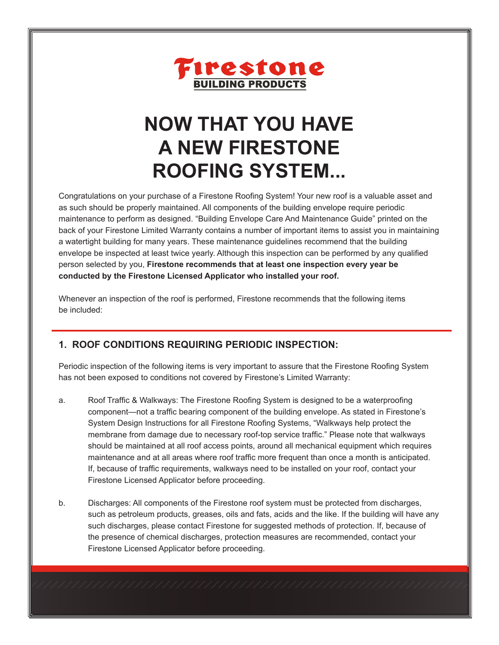

# **NOW THAT YOU HAVE A NEW FIRESTONE ROOFING SYSTEM...**

Congratulations on your purchase of a Firestone Roofing System! Your new roof is a valuable asset and as such should be properly maintained. All components of the building envelope require periodic maintenance to perform as designed. "Building Envelope Care And Maintenance Guide" printed on the back of your Firestone Limited Warranty contains a number of important items to assist you in maintaining a watertight building for many years. These maintenance guidelines recommend that the building envelope be inspected at least twice yearly. Although this inspection can be performed by any qualified person selected by you, **Firestone recommends that at least one inspection every year be conducted by the Firestone Licensed Applicator who installed your roof.**

Whenever an inspection of the roof is performed, Firestone recommends that the following items be included:

## **1. ROOF CONDITIONS REQUIRING PERIODIC INSPECTION:**

Periodic inspection of the following items is very important to assure that the Firestone Roofing System has not been exposed to conditions not covered by Firestone's Limited Warranty:

- a. Roof Traffic & Walkways: The Firestone Roofing System is designed to be a waterproofing component—not a traffic bearing component of the building envelope. As stated in Firestone's System Design Instructions for all Firestone Roofing Systems, "Walkways help protect the membrane from damage due to necessary roof-top service traffic." Please note that walkways should be maintained at all roof access points, around all mechanical equipment which requires maintenance and at all areas where roof traffic more frequent than once a month is anticipated. If, because of traffic requirements, walkways need to be installed on your roof, contact your Firestone Licensed Applicator before proceeding.
- b. Discharges: All components of the Firestone roof system must be protected from discharges, such as petroleum products, greases, oils and fats, acids and the like. If the building will have any such discharges, please contact Firestone for suggested methods of protection. If, because of the presence of chemical discharges, protection measures are recommended, contact your Firestone Licensed Applicator before proceeding.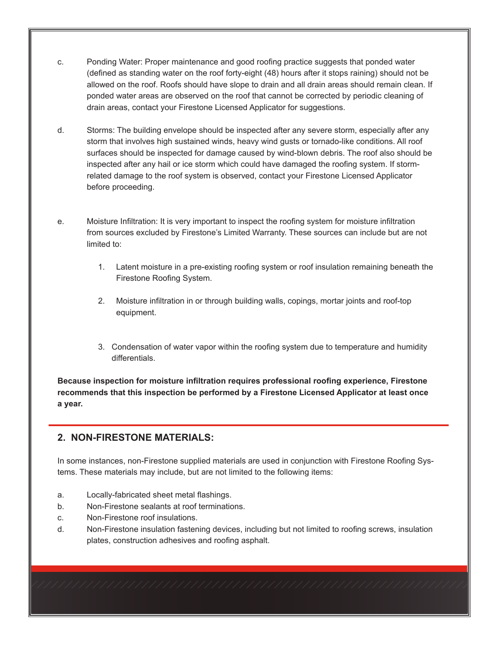- c. Ponding Water: Proper maintenance and good roofing practice suggests that ponded water (defined as standing water on the roof forty-eight (48) hours after it stops raining) should not be allowed on the roof. Roofs should have slope to drain and all drain areas should remain clean. If ponded water areas are observed on the roof that cannot be corrected by periodic cleaning of drain areas, contact your Firestone Licensed Applicator for suggestions.
- d. Storms: The building envelope should be inspected after any severe storm, especially after any storm that involves high sustained winds, heavy wind gusts or tornado-like conditions. All roof surfaces should be inspected for damage caused by wind-blown debris. The roof also should be inspected after any hail or ice storm which could have damaged the roofing system. If stormrelated damage to the roof system is observed, contact your Firestone Licensed Applicator before proceeding.
- e. Moisture Infiltration: It is very important to inspect the roofing system for moisture infiltration from sources excluded by Firestone's Limited Warranty. These sources can include but are not limited to:
	- 1. Latent moisture in a pre-existing roofing system or roof insulation remaining beneath the Firestone Roofing System.
	- 2. Moisture infiltration in or through building walls, copings, mortar joints and roof-top equipment.
	- 3. Condensation of water vapor within the roofing system due to temperature and humidity differentials.

**Because inspection for moisture infiltration requires professional roofing experience, Firestone recommends that this inspection be performed by a Firestone Licensed Applicator at least once a year.**

#### **2. NON-FIRESTONE MATERIALS:**

In some instances, non-Firestone supplied materials are used in conjunction with Firestone Roofing Systems. These materials may include, but are not limited to the following items:

- a. Locally-fabricated sheet metal flashings.
- b. Non-Firestone sealants at roof terminations.
- c. Non-Firestone roof insulations.
- d. Non-Firestone insulation fastening devices, including but not limited to roofing screws, insulation plates, construction adhesives and roofing asphalt.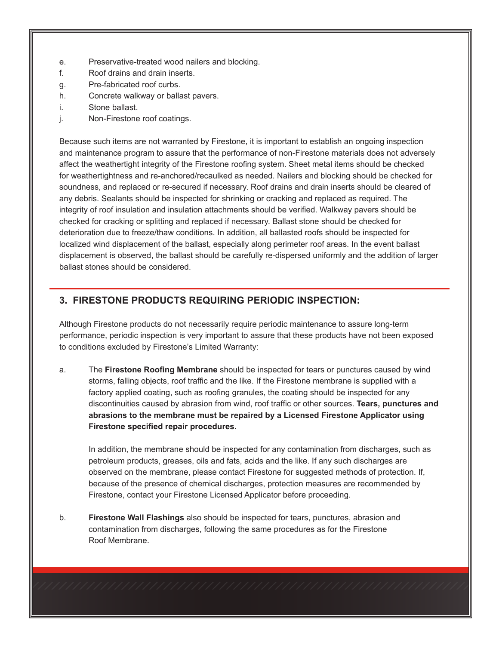- e. Preservative-treated wood nailers and blocking.
- f. Roof drains and drain inserts.
- g. Pre-fabricated roof curbs.
- h. Concrete walkway or ballast pavers.
- i. Stone ballast.
- j. Non-Firestone roof coatings.

Because such items are not warranted by Firestone, it is important to establish an ongoing inspection and maintenance program to assure that the performance of non-Firestone materials does not adversely affect the weathertight integrity of the Firestone roofing system. Sheet metal items should be checked for weathertightness and re-anchored/recaulked as needed. Nailers and blocking should be checked for soundness, and replaced or re-secured if necessary. Roof drains and drain inserts should be cleared of any debris. Sealants should be inspected for shrinking or cracking and replaced as required. The integrity of roof insulation and insulation attachments should be verified. Walkway pavers should be checked for cracking or splitting and replaced if necessary. Ballast stone should be checked for deterioration due to freeze/thaw conditions. In addition, all ballasted roofs should be inspected for localized wind displacement of the ballast, especially along perimeter roof areas. In the event ballast displacement is observed, the ballast should be carefully re-dispersed uniformly and the addition of larger ballast stones should be considered.

## **3. FIRESTONE PRODUCTS REQUIRING PERIODIC INSPECTION:**

Although Firestone products do not necessarily require periodic maintenance to assure long-term performance, periodic inspection is very important to assure that these products have not been exposed to conditions excluded by Firestone's Limited Warranty:

a. The **Firestone Roofing Membrane** should be inspected for tears or punctures caused by wind storms, falling objects, roof traffic and the like. If the Firestone membrane is supplied with a factory applied coating, such as roofing granules, the coating should be inspected for any discontinuities caused by abrasion from wind, roof traffic or other sources. **Tears, punctures and abrasions to the membrane must be repaired by a Licensed Firestone Applicator using Firestone specified repair procedures.**

In addition, the membrane should be inspected for any contamination from discharges, such as petroleum products, greases, oils and fats, acids and the like. If any such discharges are observed on the membrane, please contact Firestone for suggested methods of protection. If, because of the presence of chemical discharges, protection measures are recommended by Firestone, contact your Firestone Licensed Applicator before proceeding.

b. **Firestone Wall Flashings** also should be inspected for tears, punctures, abrasion and contamination from discharges, following the same procedures as for the Firestone Roof Membrane.